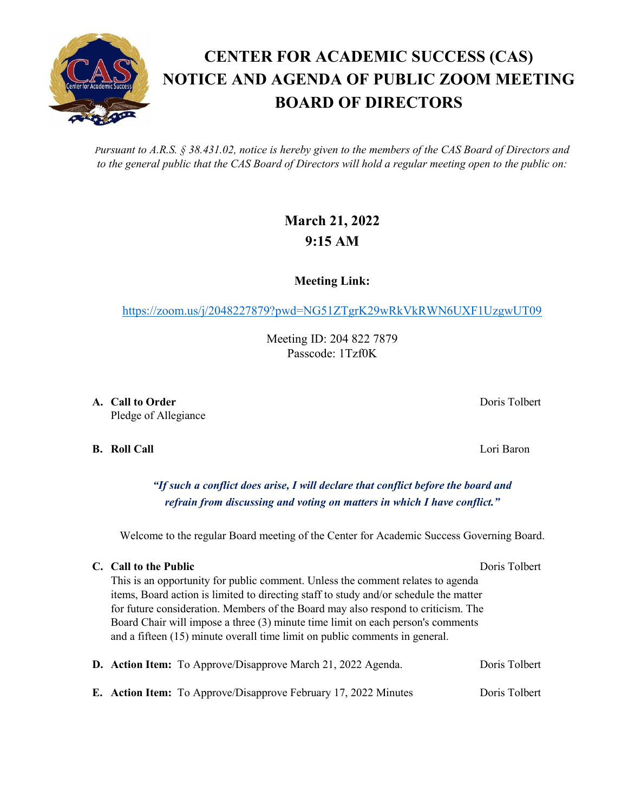*Pursuant to A.R.S. § 38.431.02, notice is hereby given to the members of the CAS Board of Directors and to the general public that the CAS Board of Directors will hold a regular meeting open to the public on:*

## **March 21, 2022 9:15 AM**

**Meeting Link:**

<https://zoom.us/j/2048227879?pwd=NG51ZTgrK29wRkVkRWN6UXF1UzgwUT09>

Meeting ID: 204 822 7879 Passcode: 1Tzf0K

**A. Call to Order** Doris Tolbert Pledge of Allegiance

**B. Roll Call** Lori Baron

*"If such a conflict does arise, I will declare that conflict before the board and refrain from discussing and voting on matters in which I have conflict."*

Welcome to the regular Board meeting of the Center for Academic Success Governing Board.

## **C. Call to the Public** Doris Tolbert Doris Tolbert

This is an opportunity for public comment. Unless the comment relates to agenda items, Board action is limited to directing staff to study and/or schedule the matter for future consideration. Members of the Board may also respond to criticism. The Board Chair will impose a three (3) minute time limit on each person's comments and a fifteen (15) minute overall time limit on public comments in general.

|  | D. Action Item: To Approve/Disapprove March 21, 2022 Agenda.           | Doris Tolbert |
|--|------------------------------------------------------------------------|---------------|
|  | <b>E.</b> Action Item: To Approve/Disapprove February 17, 2022 Minutes | Doris Tolbert |